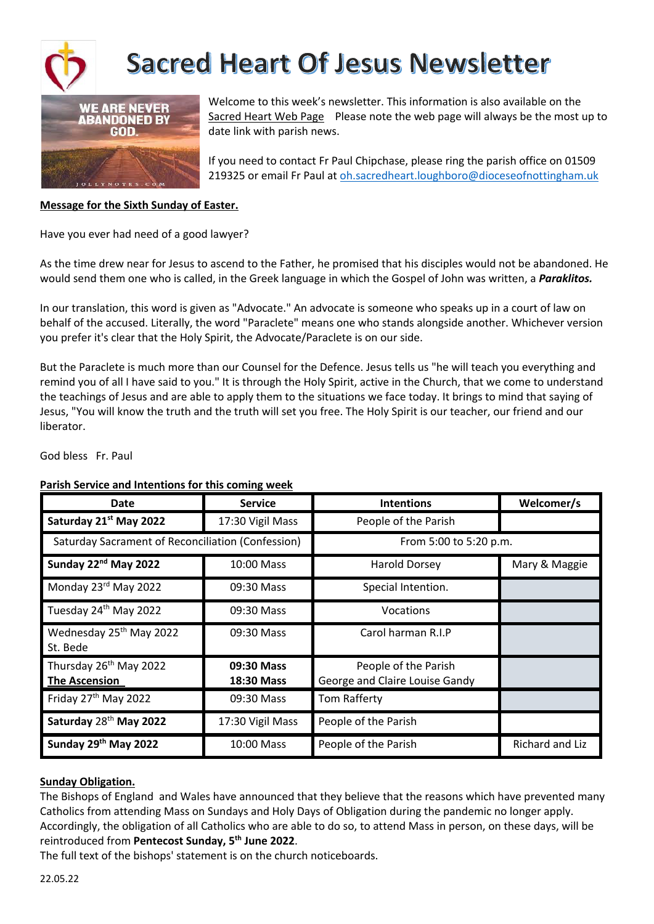



Welcome to this week's newsletter. This information is also available on the Sacred Heart Web Page Please note the web page will always be the most up to date link with parish news.

If you need to contact Fr Paul Chipchase, please ring the parish office on 01509 219325 or email Fr Paul at oh.sacredheart.loughboro@dioceseofnottingham.uk

#### **Message for the Sixth Sunday of Easter.**

Have you ever had need of a good lawyer?

As the time drew near for Jesus to ascend to the Father, he promised that his disciples would not be abandoned. He would send them one who is called, in the Greek language in which the Gospel of John was written, a *Paraklitos.*

In our translation, this word is given as "Advocate." An advocate is someone who speaks up in a court of law on behalf of the accused. Literally, the word "Paraclete" means one who stands alongside another. Whichever version you prefer it's clear that the Holy Spirit, the Advocate/Paraclete is on our side.

But the Paraclete is much more than our Counsel for the Defence. Jesus tells us "he will teach you everything and remind you of all I have said to you." It is through the Holy Spirit, active in the Church, that we come to understand the teachings of Jesus and are able to apply them to the situations we face today. It brings to mind that saying of Jesus, "You will know the truth and the truth will set you free. The Holy Spirit is our teacher, our friend and our liberator.

God bless Fr. Paul

#### **Parish Service and Intentions for this coming week**

| Date                                                       | <b>Service</b>           | <b>Intentions</b>                                      | Welcomer/s      |
|------------------------------------------------------------|--------------------------|--------------------------------------------------------|-----------------|
| Saturday 21st May 2022                                     | 17:30 Vigil Mass         | People of the Parish                                   |                 |
| Saturday Sacrament of Reconciliation (Confession)          |                          | From 5:00 to 5:20 p.m.                                 |                 |
| Sunday 22 <sup>nd</sup> May 2022                           | 10:00 Mass               | Harold Dorsey                                          | Mary & Maggie   |
| Monday 23rd May 2022                                       | 09:30 Mass               | Special Intention.                                     |                 |
| Tuesday 24 <sup>th</sup> May 2022                          | 09:30 Mass               | Vocations                                              |                 |
| Wednesday 25 <sup>th</sup> May 2022<br>St. Bede            | 09:30 Mass               | Carol harman R.I.P                                     |                 |
| Thursday 26 <sup>th</sup> May 2022<br><b>The Ascension</b> | 09:30 Mass<br>18:30 Mass | People of the Parish<br>George and Claire Louise Gandy |                 |
| Friday 27 <sup>th</sup> May 2022                           | 09:30 Mass               | Tom Rafferty                                           |                 |
| Saturday 28 <sup>th</sup> May 2022                         | 17:30 Vigil Mass         | People of the Parish                                   |                 |
| Sunday 29th May 2022                                       | 10:00 Mass               | People of the Parish                                   | Richard and Liz |

#### **Sunday Obligation.**

The Bishops of England and Wales have announced that they believe that the reasons which have prevented many Catholics from attending Mass on Sundays and Holy Days of Obligation during the pandemic no longer apply. Accordingly, the obligation of all Catholics who are able to do so, to attend Mass in person, on these days, will be reintroduced from **Pentecost Sunday, 5th June 2022**.

The full text of the bishops' statement is on the church noticeboards.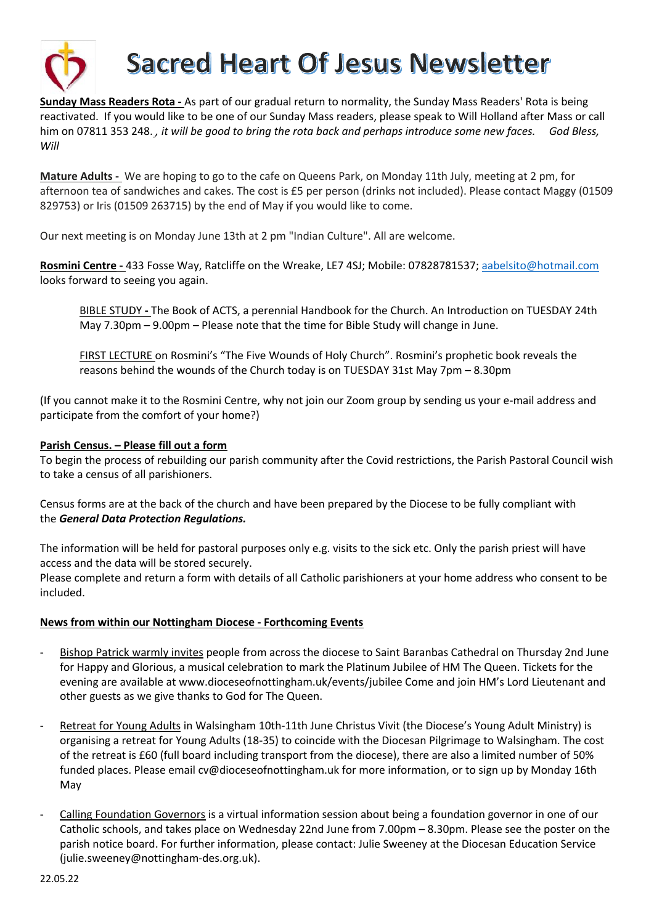

**Sunday Mass Readers Rota -** As part of our gradual return to normality, the Sunday Mass Readers' Rota is being reactivated. If you would like to be one of our Sunday Mass readers, please speak to Will Holland after Mass or call him on 07811 353 248., it will be good to bring the rota back and perhaps introduce some new faces. God Bless, *Will*

**Mature Adults -** We are hoping to go to the cafe on Queens Park, on Monday 11th July, meeting at 2 pm, for afternoon tea of sandwiches and cakes. The cost is £5 per person (drinks not included). Please contact Maggy (01509 829753) or Iris (01509 263715) by the end of May if you would like to come.

Our next meeting is on Monday June 13th at 2 pm "Indian Culture". All are welcome.

**Rosmini Centre -** 433 Fosse Way, Ratcliffe on the Wreake, LE7 4SJ; Mobile: 07828781537; aabelsito@hotmail.com looks forward to seeing you again.

BIBLE STUDY **-** The Book of ACTS, a perennial Handbook for the Church. An Introduction on TUESDAY 24th May 7.30pm – 9.00pm – Please note that the time for Bible Study will change in June.

FIRST LECTURE on Rosmini's "The Five Wounds of Holy Church". Rosmini's prophetic book reveals the reasons behind the wounds of the Church today is on TUESDAY 31st May 7pm – 8.30pm

(If you cannot make it to the Rosmini Centre, why not join our Zoom group by sending us your e-mail address and participate from the comfort of your home?)

#### **Parish Census. – Please fill out a form**

To begin the process of rebuilding our parish community after the Covid restrictions, the Parish Pastoral Council wish to take a census of all parishioners.

Census forms are at the back of the church and have been prepared by the Diocese to be fully compliant with the *General Data Protection Regulations.*

The information will be held for pastoral purposes only e.g. visits to the sick etc. Only the parish priest will have access and the data will be stored securely.

Please complete and return a form with details of all Catholic parishioners at your home address who consent to be included.

### **News from within our Nottingham Diocese - Forthcoming Events**

- Bishop Patrick warmly invites people from across the diocese to Saint Baranbas Cathedral on Thursday 2nd June for Happy and Glorious, a musical celebration to mark the Platinum Jubilee of HM The Queen. Tickets for the evening are available at www.dioceseofnottingham.uk/events/jubilee Come and join HM's Lord Lieutenant and other guests as we give thanks to God for The Queen.
- Retreat for Young Adults in Walsingham 10th-11th June Christus Vivit (the Diocese's Young Adult Ministry) is organising a retreat for Young Adults (18-35) to coincide with the Diocesan Pilgrimage to Walsingham. The cost of the retreat is £60 (full board including transport from the diocese), there are also a limited number of 50% funded places. Please email cv@dioceseofnottingham.uk for more information, or to sign up by Monday 16th May
- Calling Foundation Governors is a virtual information session about being a foundation governor in one of our Catholic schools, and takes place on Wednesday 22nd June from 7.00pm – 8.30pm. Please see the poster on the parish notice board. For further information, please contact: Julie Sweeney at the Diocesan Education Service (julie.sweeney@nottingham-des.org.uk).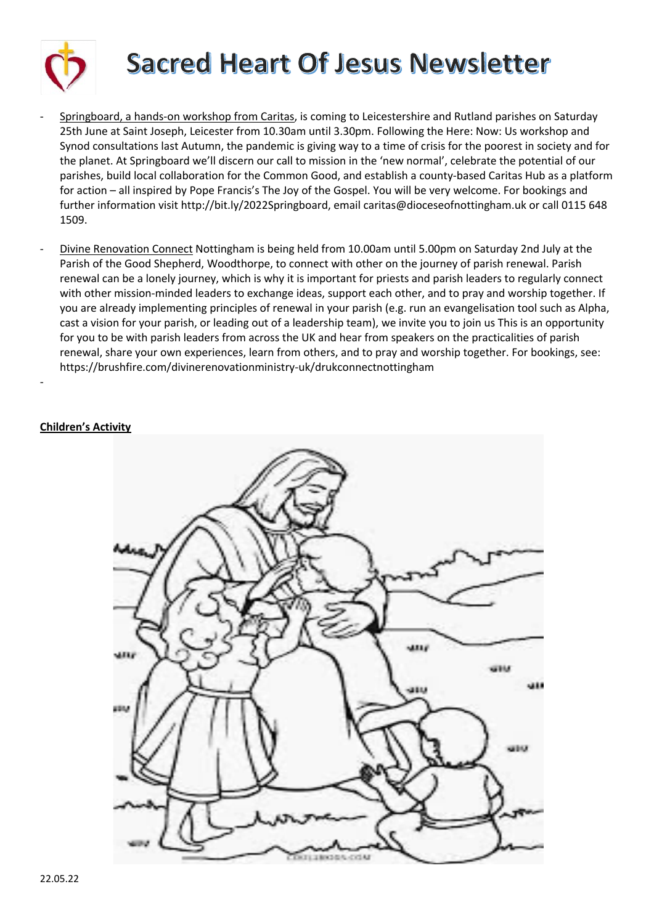

- Springboard, a hands-on workshop from Caritas, is coming to Leicestershire and Rutland parishes on Saturday 25th June at Saint Joseph, Leicester from 10.30am until 3.30pm. Following the Here: Now: Us workshop and Synod consultations last Autumn, the pandemic is giving way to a time of crisis for the poorest in society and for the planet. At Springboard we'll discern our call to mission in the 'new normal', celebrate the potential of our parishes, build local collaboration for the Common Good, and establish a county-based Caritas Hub as a platform for action – all inspired by Pope Francis's The Joy of the Gospel. You will be very welcome. For bookings and further information visit http://bit.ly/2022Springboard, email caritas@dioceseofnottingham.uk or call 0115 648 1509.
- Divine Renovation Connect Nottingham is being held from 10.00am until 5.00pm on Saturday 2nd July at the Parish of the Good Shepherd, Woodthorpe, to connect with other on the journey of parish renewal. Parish renewal can be a lonely journey, which is why it is important for priests and parish leaders to regularly connect with other mission-minded leaders to exchange ideas, support each other, and to pray and worship together. If you are already implementing principles of renewal in your parish (e.g. run an evangelisation tool such as Alpha, cast a vision for your parish, or leading out of a leadership team), we invite you to join us This is an opportunity for you to be with parish leaders from across the UK and hear from speakers on the practicalities of parish renewal, share your own experiences, learn from others, and to pray and worship together. For bookings, see: https://brushfire.com/divinerenovationministry-uk/drukconnectnottingham

### **Children's Activity**

-